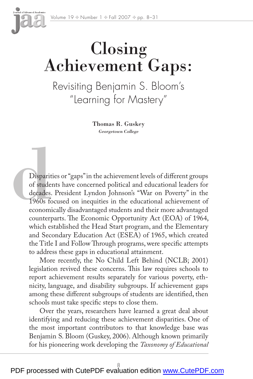

# Closing Achievement Gaps:

Revisiting Benjamin S. Bloom's "Learning for Mastery"

> Thomas R. Guskey *Georgetown College*

Disparit<br>
of studer<br>
decades.<br>
1960s fc<br>
economi Disparities or "gaps" in the achievement levels of different groups of students have concerned political and educational leaders for decades. President Lyndon Johnson's "War on Poverty" in the 1960s focused on inequities in the educational achievement of economically disadvantaged students and their more advantaged counterparts. The Economic Opportunity Act (EOA) of 1964, which established the Head Start program, and the Elementary and Secondary Education Act (ESEA) of 1965, which created the Title I and Follow Through programs, were specific attempts to address these gaps in educational attainment.

More recently, the No Child Left Behind (NCLB; 2001) legislation revived these concerns. This law requires schools to report achievement results separately for various poverty, ethnicity, language, and disability subgroups. If achievement gaps among these different subgroups of students are identified, then schools must take specific steps to close them.

Over the years, researchers have learned a great deal about identifying and reducing these achievement disparities. One of the most important contributors to that knowledge base was Benjamin S. Bloom (Guskey, 2006). Although known primarily for his pioneering work developing the *Taxonomy of Educational*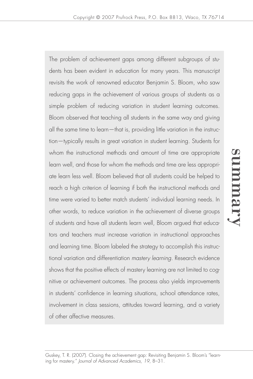The problem of achievement gaps among different subgroups of students has been evident in education for many years. This manuscript revisits the work of renowned educator Benjamin S. Bloom, who saw reducing gaps in the achievement of various groups of students as a simple problem of reducing variation in student learning outcomes. Bloom observed that teaching all students in the same way and giving all the same time to learn—that is, providing little variation in the instruction—typically results in great variation in student learning. Students for whom the instructional methods and amount of time are appropriate learn well, and those for whom the methods and time are less appropriate learn less well. Bloom believed that all students could be helped to reach a high criterion of learning if both the instructional methods and time were varied to better match students' individual learning needs. In other words, to reduce variation in the achievement of diverse groups of students and have all students learn well, Bloom argued that educators and teachers must increase variation in instructional approaches and learning time. Bloom labeled the strategy to accomplish this instructional variation and differentiation *mastery learning*. Research evidence shows that the positive effects of mastery learning are not limited to cognitive or achievement outcomes. The process also yields improvements in students' confidence in learning situations, school attendance rates, involvement in class sessions, attitudes toward learning, and a variety of other affective measures.



Guskey, T. R. (2007). Closing the achievement gap: Revisiting Benjamin S. Bloom's "learning for mastery." *Journal of Advanced Academics, 19*, 8–31.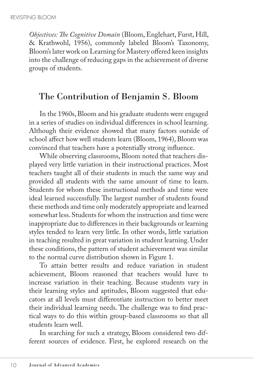*Objectives: The Cognitive Domain* (Bloom, Englehart, Furst, Hill, & Krathwohl, 1956), commonly labeled Bloom's Taxonomy, Bloom's later work on Learning for Mastery offered keen insights into the challenge of reducing gaps in the achievement of diverse groups of students.

## The Contribution of Benjamin S. Bloom

In the 1960s, Bloom and his graduate students were engaged in a series of studies on individual differences in school learning. Although their evidence showed that many factors outside of school affect how well students learn (Bloom, 1964), Bloom was convinced that teachers have a potentially strong influence.

While observing classrooms, Bloom noted that teachers displayed very little variation in their instructional practices. Most teachers taught all of their students in much the same way and provided all students with the same amount of time to learn. Students for whom these instructional methods and time were ideal learned successfully. The largest number of students found these methods and time only moderately appropriate and learned somewhat less. Students for whom the instruction and time were inappropriate due to differences in their backgrounds or learning styles tended to learn very little. In other words, little variation in teaching resulted in great variation in student learning. Under these conditions, the pattern of student achievement was similar to the normal curve distribution shown in Figure 1.

To attain better results and reduce variation in student achievement, Bloom reasoned that teachers would have to increase variation in their teaching. Because students vary in their learning styles and aptitudes, Bloom suggested that educators at all levels must differentiate instruction to better meet their individual learning needs. The challenge was to find practical ways to do this within group-based classrooms so that all students learn well.

In searching for such a strategy, Bloom considered two different sources of evidence. First, he explored research on the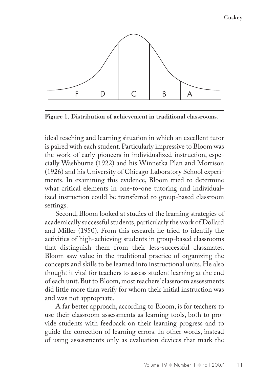

Figure 1. Distribution of achievement in traditional classrooms.

ideal teaching and learning situation in which an excellent tutor is paired with each student. Particularly impressive to Bloom was the work of early pioneers in individualized instruction, especially Washburne (1922) and his Winnetka Plan and Morrison (1926) and his University of Chicago Laboratory School experiments. In examining this evidence, Bloom tried to determine what critical elements in one-to-one tutoring and individualized instruction could be transferred to group-based classroom settings.

Second, Bloom looked at studies of the learning strategies of academically successful students, particularly the work of Dollard and Miller (1950). From this research he tried to identify the activities of high-achieving students in group-based classrooms that distinguish them from their less-successful classmates. Bloom saw value in the traditional practice of organizing the concepts and skills to be learned into instructional units. He also thought it vital for teachers to assess student learning at the end of each unit. But to Bloom, most teachers' classroom assessments did little more than verify for whom their initial instruction was and was not appropriate.

A far better approach, according to Bloom, is for teachers to use their classroom assessments as learning tools, both to provide students with feedback on their learning progress and to guide the correction of learning errors. In other words, instead of using assessments only as evaluation devices that mark the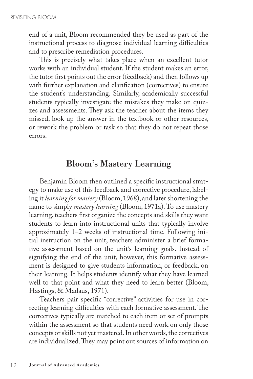end of a unit, Bloom recommended they be used as part of the instructional process to diagnose individual learning difficulties and to prescribe remediation procedures.

This is precisely what takes place when an excellent tutor works with an individual student. If the student makes an error, the tutor first points out the error (feedback) and then follows up with further explanation and clarification (correctives) to ensure the student's understanding. Similarly, academically successful students typically investigate the mistakes they make on quizzes and assessments. They ask the teacher about the items they missed, look up the answer in the textbook or other resources, or rework the problem or task so that they do not repeat those errors.

## Bloom's Mastery Learning

Benjamin Bloom then outlined a specific instructional strategy to make use of this feedback and corrective procedure, labeling it *learning for mastery* (Bloom, 1968), and later shortening the name to simply *mastery learning* (Bloom, 1971a). To use mastery learning, teachers first organize the concepts and skills they want students to learn into instructional units that typically involve approximately 1–2 weeks of instructional time. Following initial instruction on the unit, teachers administer a brief formative assessment based on the unit's learning goals. Instead of signifying the end of the unit, however, this formative assessment is designed to give students information, or feedback, on their learning. It helps students identify what they have learned well to that point and what they need to learn better (Bloom, Hastings, & Madaus, 1971).

Teachers pair specific "corrective" activities for use in correcting learning difficulties with each formative assessment. The correctives typically are matched to each item or set of prompts within the assessment so that students need work on only those concepts or skills not yet mastered. In other words, the correctives are individualized. They may point out sources of information on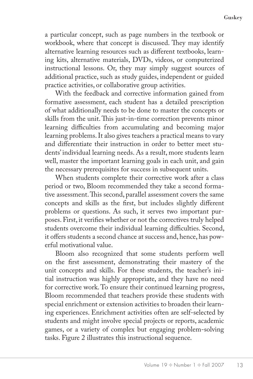a particular concept, such as page numbers in the textbook or workbook, where that concept is discussed. They may identify alternative learning resources such as different textbooks, learning kits, alternative materials, DVDs, videos, or computerized instructional lessons. Or, they may simply suggest sources of additional practice, such as study guides, independent or guided practice activities, or collaborative group activities.

With the feedback and corrective information gained from formative assessment, each student has a detailed prescription of what additionally needs to be done to master the concepts or skills from the unit. This just-in-time correction prevents minor learning difficulties from accumulating and becoming major learning problems. It also gives teachers a practical means to vary and differentiate their instruction in order to better meet students' individual learning needs. As a result, more students learn well, master the important learning goals in each unit, and gain the necessary prerequisites for success in subsequent units.

When students complete their corrective work after a class period or two, Bloom recommended they take a second formative assessment. This second, parallel assessment covers the same concepts and skills as the first, but includes slightly different problems or questions. As such, it serves two important purposes. First, it verifies whether or not the correctives truly helped students overcome their individual learning difficulties. Second, it offers students a second chance at success and, hence, has powerful motivational value.

Bloom also recognized that some students perform well on the first assessment, demonstrating their mastery of the unit concepts and skills. For these students, the teacher's initial instruction was highly appropriate, and they have no need for corrective work. To ensure their continued learning progress, Bloom recommended that teachers provide these students with special enrichment or extension activities to broaden their learning experiences. Enrichment activities often are self-selected by students and might involve special projects or reports, academic games, or a variety of complex but engaging problem-solving tasks. Figure 2 illustrates this instructional sequence.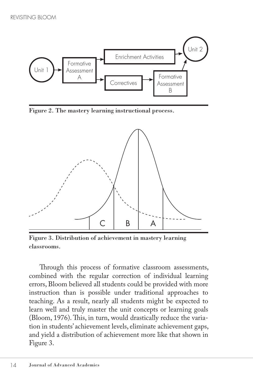

Figure 2. The mastery learning instructional process.



Figure 3. Distribution of achievement in mastery learning classrooms.

Through this process of formative classroom assessments, combined with the regular correction of individual learning errors, Bloom believed all students could be provided with more instruction than is possible under traditional approaches to teaching. As a result, nearly all students might be expected to learn well and truly master the unit concepts or learning goals (Bloom, 1976). This, in turn, would drastically reduce the variation in students' achievement levels, eliminate achievement gaps, and yield a distribution of achievement more like that shown in Figure 3.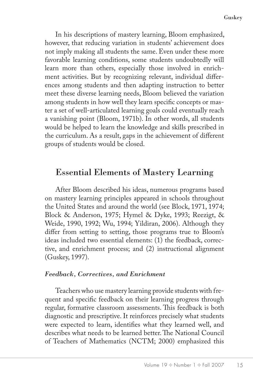In his descriptions of mastery learning, Bloom emphasized, however, that reducing variation in students' achievement does not imply making all students the same. Even under these more favorable learning conditions, some students undoubtedly will learn more than others, especially those involved in enrichment activities. But by recognizing relevant, individual differences among students and then adapting instruction to better meet these diverse learning needs, Bloom believed the variation among students in how well they learn specific concepts or master a set of well-articulated learning goals could eventually reach a vanishing point (Bloom, 1971b). In other words, all students would be helped to learn the knowledge and skills prescribed in the curriculum. As a result, gaps in the achievement of different groups of students would be closed.

## Essential Elements of Mastery Learning

After Bloom described his ideas, numerous programs based on mastery learning principles appeared in schools throughout the United States and around the world (see Block, 1971, 1974; Block & Anderson, 1975; Hymel & Dyke, 1993; Reezigt, & Weide, 1990, 1992; Wu, 1994; Yildiran, 2006). Although they differ from setting to setting, those programs true to Bloom's ideas included two essential elements: (1) the feedback, corrective, and enrichment process; and (2) instructional alignment (Guskey, 1997).

#### *Feedback, Correctives, and Enrichment*

Teachers who use mastery learning provide students with frequent and specific feedback on their learning progress through regular, formative classroom assessments. This feedback is both diagnostic and prescriptive. It reinforces precisely what students were expected to learn, identifies what they learned well, and describes what needs to be learned better. The National Council of Teachers of Mathematics (NCTM; 2000) emphasized this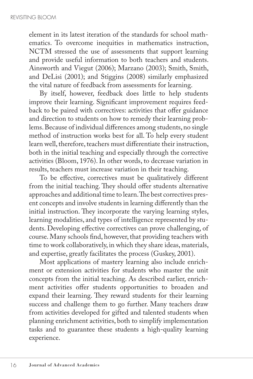element in its latest iteration of the standards for school mathematics. To overcome inequities in mathematics instruction, NCTM stressed the use of assessments that support learning and provide useful information to both teachers and students. Ainsworth and Viegut (2006); Marzano (2003); Smith, Smith, and DeLisi (2001); and Stiggins (2008) similarly emphasized the vital nature of feedback from assessments for learning.

By itself, however, feedback does little to help students improve their learning. Significant improvement requires feedback to be paired with correctives: activities that offer guidance and direction to students on how to remedy their learning problems. Because of individual differences among students, no single method of instruction works best for all. To help every student learn well, therefore, teachers must differentiate their instruction, both in the initial teaching and especially through the corrective activities (Bloom, 1976). In other words, to decrease variation in results, teachers must increase variation in their teaching.

To be effective, correctives must be qualitatively different from the initial teaching. They should offer students alternative approaches and additional time to learn. The best correctives present concepts and involve students in learning differently than the initial instruction. They incorporate the varying learning styles, learning modalities, and types of intelligence represented by students. Developing effective correctives can prove challenging, of course. Many schools find, however, that providing teachers with time to work collaboratively, in which they share ideas, materials, and expertise, greatly facilitates the process (Guskey, 2001).

Most applications of mastery learning also include enrichment or extension activities for students who master the unit concepts from the initial teaching. As described earlier, enrichment activities offer students opportunities to broaden and expand their learning. They reward students for their learning success and challenge them to go further. Many teachers draw from activities developed for gifted and talented students when planning enrichment activities, both to simplify implementation tasks and to guarantee these students a high-quality learning experience.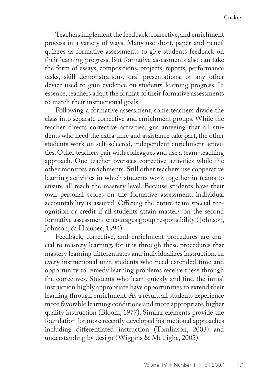Teachers implement the feedback, corrective, and enrichment process in a variety of ways. Many use short, paper-and-pencil quizzes as formative assessments to give students feedback on their learning progress. But formative assessments also can take the form of essays, compositions, projects, reports, performance tasks, skill demonstrations, oral presentations, or any other device used to gain evidence on students' learning progress. In essence, teachers adapt the format of their formative assessments to match their instructional goals.

Following a formative assessment, some teachers divide the class into separate corrective and enrichment groups. While the teacher directs corrective activities, guaranteeing that all students who need the extra time and assistance take part, the other students work on self-selected, independent enrichment activities. Other teachers pair with colleagues and use a team-teaching approach. One teacher oversees corrective activities while the other monitors enrichments. Still other teachers use cooperative learning activities in which students work together in teams to ensure all reach the mastery level. Because students have their own personal scores on the formative assessment, individual accountability is assured. Offering the entire team special recognition or credit if all students attain mastery on the second formative assessment encourages group responsibility ( Johnson, Johnson, & Holubec, 1994).

Feedback, corrective, and enrichment procedures are crucial to mastery learning, for it is through these procedures that mastery learning differentiates and individualizes instruction. In every instructional unit, students who need extended time and opportunity to remedy learning problems receive these through the correctives. Students who learn quickly and find the initial instruction highly appropriate have opportunities to extend their learning through enrichment. As a result, all students experience more favorable learning conditions and more appropriate, higher quality instruction (Bloom, 1977). Similar elements provide the foundation for more recently developed instructional approaches including differentiated instruction (Tomlinson, 2003) and understanding by design (Wiggins & McTighe, 2005).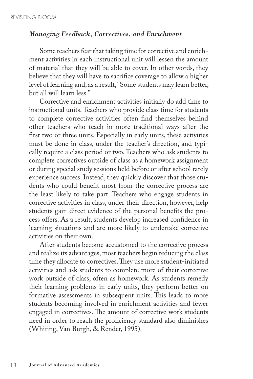### *Managing Feedback, Correctives, and Enrichment*

Some teachers fear that taking time for corrective and enrichment activities in each instructional unit will lessen the amount of material that they will be able to cover. In other words, they believe that they will have to sacrifice coverage to allow a higher level of learning and, as a result, "Some students may learn better, but all will learn less."

Corrective and enrichment activities initially do add time to instructional units. Teachers who provide class time for students to complete corrective activities often find themselves behind other teachers who teach in more traditional ways after the first two or three units. Especially in early units, these activities must be done in class, under the teacher's direction, and typically require a class period or two. Teachers who ask students to complete correctives outside of class as a homework assignment or during special study sessions held before or after school rarely experience success. Instead, they quickly discover that those students who could benefit most from the corrective process are the least likely to take part. Teachers who engage students in corrective activities in class, under their direction, however, help students gain direct evidence of the personal benefits the process offers. As a result, students develop increased confidence in learning situations and are more likely to undertake corrective activities on their own.

After students become accustomed to the corrective process and realize its advantages, most teachers begin reducing the class time they allocate to correctives. They use more student-initiated activities and ask students to complete more of their corrective work outside of class, often as homework. As students remedy their learning problems in early units, they perform better on formative assessments in subsequent units. This leads to more students becoming involved in enrichment activities and fewer engaged in correctives. The amount of corrective work students need in order to reach the proficiency standard also diminishes (Whiting, Van Burgh, & Render, 1995).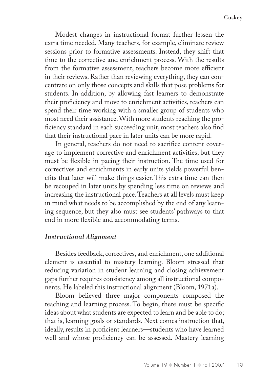Modest changes in instructional format further lessen the extra time needed. Many teachers, for example, eliminate review sessions prior to formative assessments. Instead, they shift that time to the corrective and enrichment process. With the results from the formative assessment, teachers become more efficient in their reviews. Rather than reviewing everything, they can concentrate on only those concepts and skills that pose problems for students. In addition, by allowing fast learners to demonstrate their proficiency and move to enrichment activities, teachers can spend their time working with a smaller group of students who most need their assistance. With more students reaching the proficiency standard in each succeeding unit, most teachers also find that their instructional pace in later units can be more rapid.

In general, teachers do not need to sacrifice content coverage to implement corrective and enrichment activities, but they must be flexible in pacing their instruction. The time used for correctives and enrichments in early units yields powerful benefits that later will make things easier. This extra time can then be recouped in later units by spending less time on reviews and increasing the instructional pace. Teachers at all levels must keep in mind what needs to be accomplished by the end of any learning sequence, but they also must see students' pathways to that end in more flexible and accommodating terms.

## *Instructional Alignment*

Besides feedback, correctives, and enrichment, one additional element is essential to mastery learning. Bloom stressed that reducing variation in student learning and closing achievement gaps further requires consistency among all instructional components. He labeled this instructional alignment (Bloom, 1971a).

Bloom believed three major components composed the teaching and learning process. To begin, there must be specific ideas about what students are expected to learn and be able to do; that is, learning goals or standards. Next comes instruction that, ideally, results in proficient learners—students who have learned well and whose proficiency can be assessed. Mastery learning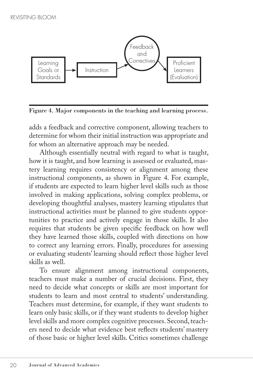

Figure 4. Major components in the teaching and learning process.

adds a feedback and corrective component, allowing teachers to determine for whom their initial instruction was appropriate and for whom an alternative approach may be needed.

Although essentially neutral with regard to what is taught, how it is taught, and how learning is assessed or evaluated, mastery learning requires consistency or alignment among these instructional components, as shown in Figure 4. For example, if students are expected to learn higher level skills such as those involved in making applications, solving complex problems, or developing thoughtful analyses, mastery learning stipulates that instructional activities must be planned to give students opportunities to practice and actively engage in those skills. It also requires that students be given specific feedback on how well they have learned those skills, coupled with directions on how to correct any learning errors. Finally, procedures for assessing or evaluating students' learning should reflect those higher level skills as well.

To ensure alignment among instructional components, teachers must make a number of crucial decisions. First, they need to decide what concepts or skills are most important for students to learn and most central to students' understanding. Teachers must determine, for example, if they want students to learn only basic skills, or if they want students to develop higher level skills and more complex cognitive processes. Second, teachers need to decide what evidence best reflects students' mastery of those basic or higher level skills. Critics sometimes challenge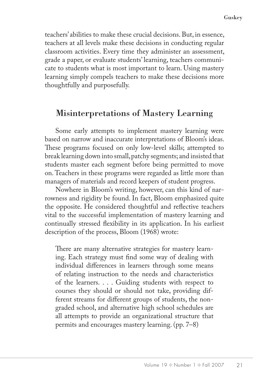teachers' abilities to make these crucial decisions. But, in essence, teachers at all levels make these decisions in conducting regular classroom activities. Every time they administer an assessment, grade a paper, or evaluate students' learning, teachers communicate to students what is most important to learn. Using mastery learning simply compels teachers to make these decisions more thoughtfully and purposefully.

# Misinterpretations of Mastery Learning

Some early attempts to implement mastery learning were based on narrow and inaccurate interpretations of Bloom's ideas. These programs focused on only low-level skills; attempted to break learning down into small, patchy segments; and insisted that students master each segment before being permitted to move on. Teachers in these programs were regarded as little more than managers of materials and record keepers of student progress.

Nowhere in Bloom's writing, however, can this kind of narrowness and rigidity be found. In fact, Bloom emphasized quite the opposite. He considered thoughtful and reflective teachers vital to the successful implementation of mastery learning and continually stressed flexibility in its application. In his earliest description of the process, Bloom (1968) wrote:

There are many alternative strategies for mastery learning. Each strategy must find some way of dealing with individual differences in learners through some means of relating instruction to the needs and characteristics of the learners. . . . Guiding students with respect to courses they should or should not take, providing different streams for different groups of students, the nongraded school, and alternative high school schedules are all attempts to provide an organizational structure that permits and encourages mastery learning. (pp. 7–8)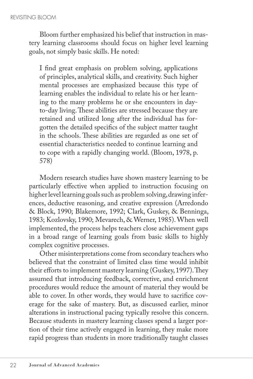Bloom further emphasized his belief that instruction in mastery learning classrooms should focus on higher level learning goals, not simply basic skills. He noted:

I find great emphasis on problem solving, applications of principles, analytical skills, and creativity. Such higher mental processes are emphasized because this type of learning enables the individual to relate his or her learning to the many problems he or she encounters in dayto-day living. These abilities are stressed because they are retained and utilized long after the individual has forgotten the detailed specifics of the subject matter taught in the schools. These abilities are regarded as one set of essential characteristics needed to continue learning and to cope with a rapidly changing world. (Bloom, 1978, p. 578)

Modern research studies have shown mastery learning to be particularly effective when applied to instruction focusing on higher level learning goals such as problem solving, drawing inferences, deductive reasoning, and creative expression (Arredondo & Block, 1990; Blakemore, 1992; Clark, Guskey, & Benninga, 1983; Kozlovsky, 1990; Mevarech, & Werner, 1985). When well implemented, the process helps teachers close achievement gaps in a broad range of learning goals from basic skills to highly complex cognitive processes.

Other misinterpretations come from secondary teachers who believed that the constraint of limited class time would inhibit their efforts to implement mastery learning (Guskey, 1997). They assumed that introducing feedback, corrective, and enrichment procedures would reduce the amount of material they would be able to cover. In other words, they would have to sacrifice coverage for the sake of mastery. But, as discussed earlier, minor alterations in instructional pacing typically resolve this concern. Because students in mastery learning classes spend a larger portion of their time actively engaged in learning, they make more rapid progress than students in more traditionally taught classes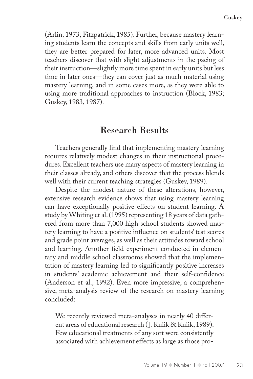(Arlin, 1973; Fitzpatrick, 1985). Further, because mastery learning students learn the concepts and skills from early units well, they are better prepared for later, more advanced units. Most teachers discover that with slight adjustments in the pacing of their instruction—slightly more time spent in early units but less time in later ones—they can cover just as much material using mastery learning, and in some cases more, as they were able to using more traditional approaches to instruction (Block, 1983; Guskey, 1983, 1987).

# Research Results

Teachers generally find that implementing mastery learning requires relatively modest changes in their instructional procedures. Excellent teachers use many aspects of mastery learning in their classes already, and others discover that the process blends well with their current teaching strategies (Guskey, 1989).

Despite the modest nature of these alterations, however, extensive research evidence shows that using mastery learning can have exceptionally positive effects on student learning. A study by Whiting et al. (1995) representing 18 years of data gathered from more than 7,000 high school students showed mastery learning to have a positive influence on students' test scores and grade point averages, as well as their attitudes toward school and learning. Another field experiment conducted in elementary and middle school classrooms showed that the implementation of mastery learning led to significantly positive increases in students' academic achievement and their self-confidence (Anderson et al., 1992). Even more impressive, a comprehensive, meta-analysis review of the research on mastery learning concluded:

We recently reviewed meta-analyses in nearly 40 different areas of educational research ( J. Kulik & Kulik, 1989). Few educational treatments of any sort were consistently associated with achievement effects as large as those pro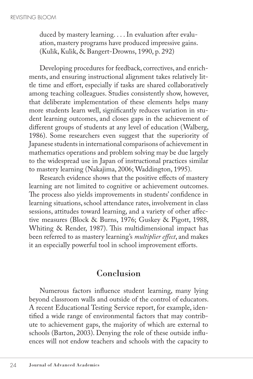duced by mastery learning. . . . In evaluation after evaluation, mastery programs have produced impressive gains. (Kulik, Kulik, & Bangert-Drowns, 1990, p. 292)

Developing procedures for feedback, correctives, and enrichments, and ensuring instructional alignment takes relatively little time and effort, especially if tasks are shared collaboratively among teaching colleagues. Studies consistently show, however, that deliberate implementation of these elements helps many more students learn well, significantly reduces variation in student learning outcomes, and closes gaps in the achievement of different groups of students at any level of education (Walberg, 1986). Some researchers even suggest that the superiority of Japanese students in international comparisons of achievement in mathematics operations and problem solving may be due largely to the widespread use in Japan of instructional practices similar to mastery learning (Nakajima, 2006; Waddington, 1995).

Research evidence shows that the positive effects of mastery learning are not limited to cognitive or achievement outcomes. The process also yields improvements in students' confidence in learning situations, school attendance rates, involvement in class sessions, attitudes toward learning, and a variety of other affective measures (Block & Burns, 1976; Guskey & Pigott, 1988, Whiting & Render, 1987). This multidimensional impact has been referred to as mastery learning's *multiplier effect*, and makes it an especially powerful tool in school improvement efforts.

## Conclusion

Numerous factors influence student learning, many lying beyond classroom walls and outside of the control of educators. A recent Educational Testing Service report, for example, identified a wide range of environmental factors that may contribute to achievement gaps, the majority of which are external to schools (Barton, 2003). Denying the role of these outside influences will not endow teachers and schools with the capacity to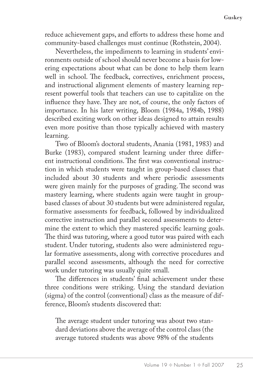reduce achievement gaps, and efforts to address these home and community-based challenges must continue (Rothstein, 2004).

Nevertheless, the impediments to learning in students' environments outside of school should never become a basis for lowering expectations about what can be done to help them learn well in school. The feedback, correctives, enrichment process, and instructional alignment elements of mastery learning represent powerful tools that teachers can use to capitalize on the influence they have. They are not, of course, the only factors of importance. In his later writing, Bloom (1984a, 1984b, 1988) described exciting work on other ideas designed to attain results even more positive than those typically achieved with mastery learning.

Two of Bloom's doctoral students, Anania (1981, 1983) and Burke (1983), compared student learning under three different instructional conditions. The first was conventional instruction in which students were taught in group-based classes that included about 30 students and where periodic assessments were given mainly for the purposes of grading. The second was mastery learning, where students again were taught in groupbased classes of about 30 students but were administered regular, formative assessments for feedback, followed by individualized corrective instruction and parallel second assessments to determine the extent to which they mastered specific learning goals. The third was tutoring, where a good tutor was paired with each student. Under tutoring, students also were administered regular formative assessments, along with corrective procedures and parallel second assessments, although the need for corrective work under tutoring was usually quite small.

The differences in students' final achievement under these three conditions were striking. Using the standard deviation (sigma) of the control (conventional) class as the measure of difference, Bloom's students discovered that:

The average student under tutoring was about two standard deviations above the average of the control class (the average tutored students was above 98% of the students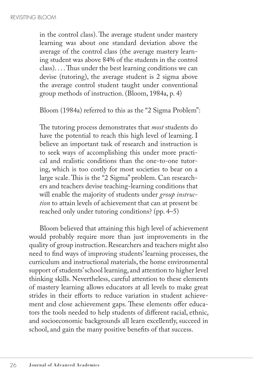in the control class). The average student under mastery learning was about one standard deviation above the average of the control class (the average mastery learning student was above 84% of the students in the control class). . . . Thus under the best learning conditions we can devise (tutoring), the average student is 2 sigma above the average control student taught under conventional group methods of instruction. (Bloom, 1984a, p. 4)

Bloom (1984a) referred to this as the "2 Sigma Problem":

The tutoring process demonstrates that *most* students do have the potential to reach this high level of learning. I believe an important task of research and instruction is to seek ways of accomplishing this under more practical and realistic conditions than the one-to-one tutoring, which is too costly for most societies to bear on a large scale. This is the "2 Sigma" problem. Can researchers and teachers devise teaching-learning conditions that will enable the majority of students under *group instruction* to attain levels of achievement that can at present be reached only under tutoring conditions? (pp. 4–5)

Bloom believed that attaining this high level of achievement would probably require more than just improvements in the quality of group instruction. Researchers and teachers might also need to find ways of improving students' learning processes, the curriculum and instructional materials, the home environmental support of students' school learning, and attention to higher level thinking skills. Nevertheless, careful attention to these elements of mastery learning allows educators at all levels to make great strides in their efforts to reduce variation in student achievement and close achievement gaps. These elements offer educators the tools needed to help students of different racial, ethnic, and socioeconomic backgrounds all learn excellently, succeed in school, and gain the many positive benefits of that success.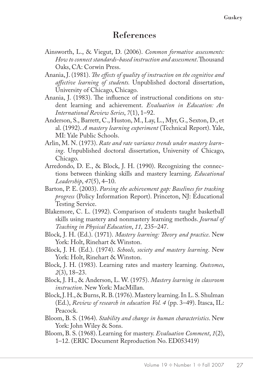## References

- Ainsworth, L., & Viegut, D. (2006). *Common formative assessments: How to connect standards-based instruction and assessment*. Thousand Oaks, CA: Corwin Press.
- Anania, J. (1981). *The effects of quality of instruction on the cognitive and affective learning of students.* Unpublished doctoral dissertation, University of Chicago, Chicago.
- Anania, J. (1983). The influence of instructional conditions on student learning and achievement. *Evaluation in Education: An International Review Series*, *7*(1), 1–92.
- Anderson, S., Barrett, C., Huston, M., Lay, L., Myr, G., Sexton, D., et al. (1992). *A mastery learning experiment* (Technical Report). Yale, MI: Yale Public Schools.
- Arlin, M. N. (1973). *Rate and rate variance trends under mastery learning*. Unpublished doctoral dissertation, University of Chicago, Chicago.
- Arredondo, D. E., & Block, J. H. (1990). Recognizing the connections between thinking skills and mastery learning. *Educational Leadership*, *47*(5), 4–10.
- Barton, P. E. (2003). *Parsing the achievement gap: Baselines for tracking progress* (Policy Information Report). Princeton, NJ: Educational Testing Service.
- Blakemore, C. L. (1992). Comparison of students taught basketball skills using mastery and nonmastery learning methods. *Journal of Teaching in Physical Education*, *11,* 235–247.
- Block, J. H. (Ed.). (1971). *Mastery learning: Theory and practice*. New York: Holt, Rinehart & Winston.
- Block, J. H. (Ed.). (1974). *Schools, society and mastery learning*. New York: Holt, Rinehart & Winston.
- Block, J. H. (1983). Learning rates and mastery learning. *Outcomes*, *2*(3), 18–23.
- Block, J. H., & Anderson, L. W. (1975). *Mastery learning in classroom instruction*. New York: MacMillan.
- Block, J. H., & Burns, R. B. (1976). Mastery learning. In L. S. Shulman (Ed.), *Review of research in education Vol. 4* (pp. 3–49). Itasca, IL: Peacock.
- Bloom, B. S. (1964). *Stability and change in human characteristics*. New York: John Wiley & Sons.
- Bloom, B. S. (1968). Learning for mastery. *Evaluation Comment*, *1*(2), 1–12. (ERIC Document Reproduction No. ED053419)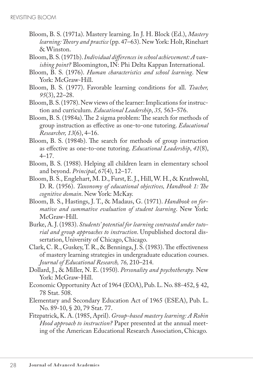- Bloom, B. S. (1971a). Mastery learning. In J. H. Block (Ed.), *Mastery learning: Theory and practice* (pp. 47–63). New York: Holt, Rinehart & Winston.
- Bloom, B. S. (1971b). *Individual differences in school achievement: A vanishing point?* Bloomington, IN: Phi Delta Kappan International.
- Bloom, B. S. (1976). *Human characteristics and school learning*. New York: McGraw-Hill.
- Bloom, B. S. (1977). Favorable learning conditions for all. *Teacher, 95*(3), 22–28.
- Bloom, B. S. (1978). New views of the learner: Implications for instruction and curriculum. *Educational Leadership*, *35,* 563–576.
- Bloom, B. S. (1984a). The 2 sigma problem: The search for methods of group instruction as effective as one-to-one tutoring. *Educational Researcher, 13*(6), 4–16.
- Bloom, B. S. (1984b). The search for methods of group instruction as effective as one-to-one tutoring. *Educational Leadership*, *41*(8), 4–17.
- Bloom, B. S. (1988). Helping all children learn in elementary school and beyond. *Principal*, *67*(4), 12–17.
- Bloom, B. S., Englehart, M. D., Furst, E. J., Hill, W. H., & Krathwohl, D. R. (1956). *Taxonomy of educational objectives, Handbook 1: The cognitive domain*. New York: McKay.
- Bloom, B. S., Hastings, J. T., & Madaus, G. (1971). *Handbook on formative and summative evaluation of student learning*. New York: McGraw-Hill.
- Burke, A. J. (1983). *Students' potential for learning contrasted under tutorial and group approaches to instruction*. Unpublished doctoral dissertation, University of Chicago, Chicago.
- Clark, C. R., Guskey, T. R., & Benninga, J. S. (1983). The effectiveness of mastery learning strategies in undergraduate education courses. *Journal of Educational Research, 76,* 210–214.
- Dollard, J., & Miller, N. E. (1950). *Personality and psychotherapy.* New York: McGraw-Hill.
- Economic Opportunity Act of 1964 (EOA), Pub. L. No. 88-452, § 42, 78 Stat. 508.
- Elementary and Secondary Education Act of 1965 (ESEA), Pub. L. No. 89-10, § 20, 79 Stat. 77.
- Fitzpatrick, K. A. (1985, April). *Group-based mastery learning: A Robin Hood approach to instruction?* Paper presented at the annual meeting of the American Educational Research Association, Chicago.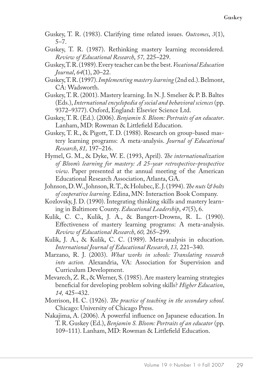- Guskey, T. R. (1983). Clarifying time related issues. *Outcomes*, *3*(1), 5–7.
- Guskey, T. R. (1987). Rethinking mastery learning reconsidered*. Review of Educational Research*, *57,* 225–229.
- Guskey, T. R. (1989). Every teacher can be the best. *Vocational Education Journal*, *64*(1), 20–22.
- Guskey, T. R. (1997). *Implementing mastery learning* (2nd ed.). Belmont, CA: Wadsworth.
- Guskey, T. R. (2001). Mastery learning. In N. J. Smelser & P. B. Baltes (Eds.), *International encyclopedia of social and behavioral sciences* (pp. 9372–9377). Oxford, England: Elsevier Science Ltd.
- Guskey, T. R. (Ed.). (2006). *Benjamin S. Bloom: Portraits of an educator*. Lanham, MD: Rowman & Littlefield Education.
- Guskey, T. R., & Pigott, T. D. (1988). Research on group-based mastery learning programs: A meta-analysis. *Journal of Educational Research*, *81,* 197–216.
- Hymel, G. M., & Dyke, W. E. (1993, April). *The internationalization of Bloom's learning for mastery: A 25-year retrospective-prospective view*. Paper presented at the annual meeting of the American Educational Research Association, Atlanta, GA.
- Johnson, D. W., Johnson, R. T., & Holubec, E. J. (1994). *The nuts & bolts of cooperative learning*. Edina, MN: Interaction Book Company.
- Kozlovsky, J. D. (1990). Integrating thinking skills and mastery learning in Baltimore County. *Educational Leadership*, *47*(5), 6.
- Kulik, C. C., Kulik, J. A., & Bangert-Drowns, R. L. (1990). Effectiveness of mastery learning programs: A meta-analysis. *Review of Educational Research*, *60,* 265–299.
- Kulik, J. A., & Kulik, C. C. (1989). Meta-analysis in education. *International Journal of Educational Research*, *13,* 221–340.
- Marzano, R. J. (2003). *What works in schools: Translating research into action.* Alexandria, VA: Association for Supervision and Curriculum Development.
- Mevarech, Z. R., & Werner, S. (1985). Are mastery learning strategies beneficial for developing problem solving skills? *Higher Education*, *14,* 425–432.
- Morrison, H. C. (1926). *The practice of teaching in the secondary school*. Chicago: University of Chicago Press.
- Nakajima, A. (2006). A powerful influence on Japanese education. In T. R. Guskey (Ed.), *Benjamin S. Bloom: Portraits of an educator* (pp. 109–111). Lanham, MD: Rowman & Littlefield Education.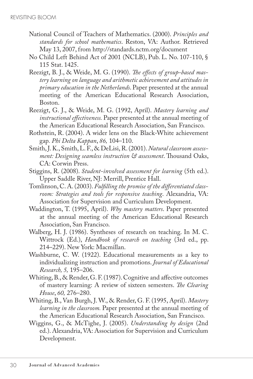- National Council of Teachers of Mathematics. (2000). *Principles and standards for school mathematics*. Reston, VA: Author. Retrieved May 13, 2007, from http://standards.nctm.org/document
- No Child Left Behind Act of 2001 (NCLB), Pub. L. No. 107-110, § 115 Stat. 1425.
- Reezigt, B. J., & Weide, M. G. (1990). *The effects of group-based mastery learning on language and arithmetic achievement and attitudes in primary education in the Netherlands*. Paper presented at the annual meeting of the American Educational Research Association, Boston.
- Reezigt, G. J., & Weide, M. G. (1992, April). *Mastery learning and instructional effectiveness.* Paper presented at the annual meeting of the American Educational Research Association, San Francisco.
- Rothstein, R. (2004). A wider lens on the Black-White achievement gap*. Phi Delta Kappan*, *86,* 104–110.
- Smith, J. K., Smith, L. F., & DeLisi, R. (2001). *Natural classroom assessment: Designing seamless instruction & assessment*. Thousand Oaks, CA: Corwin Press.
- Stiggins, R. (2008). *Student-involved assessment for learning* (5th ed.). Upper Saddle River, NJ: Merrill, Prentice Hall.
- Tomlinson, C. A. (2003). *Fulfilling the promise of the differentiated classroom: Strategies and tools for responsive teaching*. Alexandria, VA: Association for Supervision and Curriculum Development.
- Waddington, T. (1995, April). *Why mastery matters*. Paper presented at the annual meeting of the American Educational Research Association, San Francisco.
- Walberg, H. J. (1986). Syntheses of research on teaching. In M. C. Wittrock (Ed.), *Handbook of research on teaching* (3rd ed., pp. 214–229). New York: Macmillan.
- Washburne, C. W. (1922). Educational measurements as a key to individualizing instruction and promotions. *Journal of Educational Research, 5,* 195–206.
- Whiting, B., & Render, G. F. (1987). Cognitive and affective outcomes of mastery learning: A review of sixteen semesters. *The Clearing House*, *60,* 276–280.
- Whiting, B., Van Burgh, J. W., & Render, G. F. (1995, April). *Mastery learning in the classroom.* Paper presented at the annual meeting of the American Educational Research Association, San Francisco.
- Wiggins, G., & McTighe, J. (2005). *Understanding by design* (2nd ed.). Alexandria, VA: Association for Supervision and Curriculum Development.